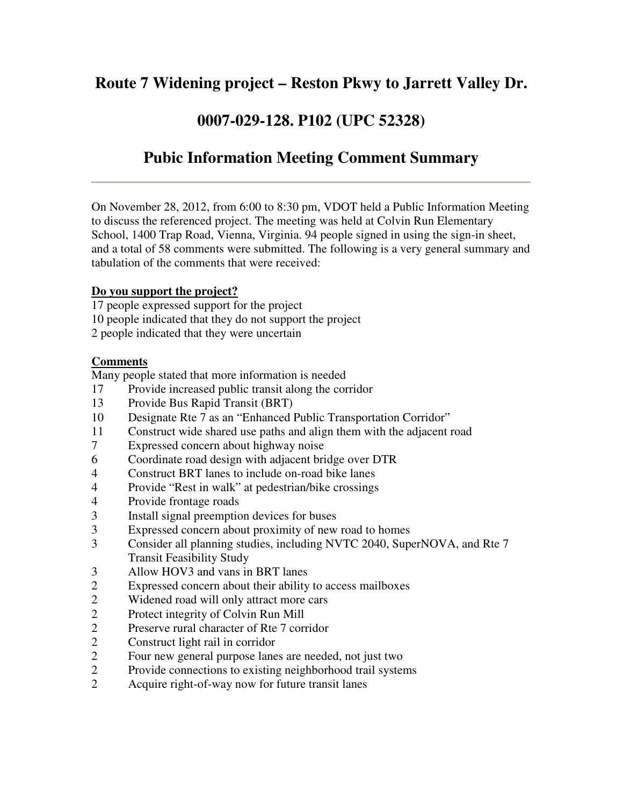# **Route 7 Widening project – Reston Pkwy to Jarrett Valley Dr.**

### **0007-029-128. P102 (UPC 52328)**

# **Pubic Information Meeting Comment Summary**

On November 28, 2012, from 6:00 to 8:30 pm, VDOT held a Public Information Meeting to discuss the referenced project. The meeting was held at Colvin Run Elementary School, 1400 Trap Road, Vienna, Virginia. 94 people signed in using the sign-in sheet, and a total of 58 comments were submitted. The following is a very general summary and tabulation of the comments that were received:

#### **Do you support the project?**

17 people expressed support for the project 10 people indicated that they do not support the project 2 people indicated that they were uncertain

### **Comments**

Many people stated that more information is needed

- 17 Provide increased public transit along the corridor
- 13 Provide Bus Rapid Transit (BRT)
- 10 Designate Rte 7 as an "Enhanced Public Transportation Corridor"
- 11 Construct wide shared use paths and align them with the adjacent road
- 7 Expressed concern about highway noise
- 6 Coordinate road design with adjacent bridge over DTR
- 4 Construct BRT lanes to include on-road bike lanes
- 4 Provide "Rest in walk" at pedestrian/bike crossings
- 4 Provide frontage roads<br>3 Install signal preemptic
- 3 Install signal preemption devices for buses
- 3 Expressed concern about proximity of new road to homes
- 3 Consider all planning studies, including NVTC 2040, SuperNOVA, and Rte 7 Transit Feasibility Study
- 3 Allow HOV3 and vans in BRT lanes
- 2 Expressed concern about their ability to access mailboxes<br>2 Widened road will only attract more cars
- Widened road will only attract more cars
- 2 Protect integrity of Colvin Run Mill
- 2 Preserve rural character of Rte 7 corridor
- 2 Construct light rail in corridor
- 2 Four new general purpose lanes are needed, not just two
- 2 Provide connections to existing neighborhood trail systems
- 2 Acquire right-of-way now for future transit lanes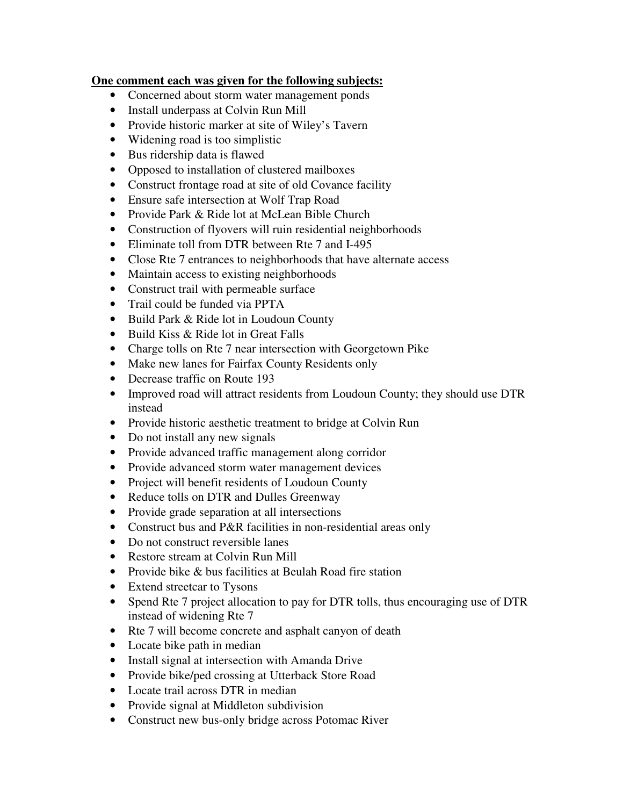#### **One comment each was given for the following subjects:**

- Concerned about storm water management ponds
- Install underpass at Colvin Run Mill
- Provide historic marker at site of Wiley's Tavern
- Widening road is too simplistic
- Bus ridership data is flawed
- Opposed to installation of clustered mailboxes
- Construct frontage road at site of old Covance facility
- Ensure safe intersection at Wolf Trap Road
- Provide Park & Ride lot at McLean Bible Church
- Construction of flyovers will ruin residential neighborhoods
- Eliminate toll from DTR between Rte 7 and I-495
- Close Rte 7 entrances to neighborhoods that have alternate access
- Maintain access to existing neighborhoods
- Construct trail with permeable surface
- Trail could be funded via PPTA
- Build Park & Ride lot in Loudoun County
- Build Kiss & Ride lot in Great Falls
- Charge tolls on Rte 7 near intersection with Georgetown Pike
- Make new lanes for Fairfax County Residents only
- Decrease traffic on Route 193
- Improved road will attract residents from Loudoun County; they should use DTR instead
- Provide historic aesthetic treatment to bridge at Colvin Run
- Do not install any new signals
- Provide advanced traffic management along corridor
- Provide advanced storm water management devices
- Project will benefit residents of Loudoun County
- Reduce tolls on DTR and Dulles Greenway
- Provide grade separation at all intersections
- Construct bus and P&R facilities in non-residential areas only
- Do not construct reversible lanes
- Restore stream at Colvin Run Mill
- Provide bike & bus facilities at Beulah Road fire station
- Extend streetcar to Tysons
- Spend Rte 7 project allocation to pay for DTR tolls, thus encouraging use of DTR instead of widening Rte 7
- Rte 7 will become concrete and asphalt canyon of death
- Locate bike path in median
- Install signal at intersection with Amanda Drive
- Provide bike/ped crossing at Utterback Store Road
- Locate trail across DTR in median
- Provide signal at Middleton subdivision
- Construct new bus-only bridge across Potomac River